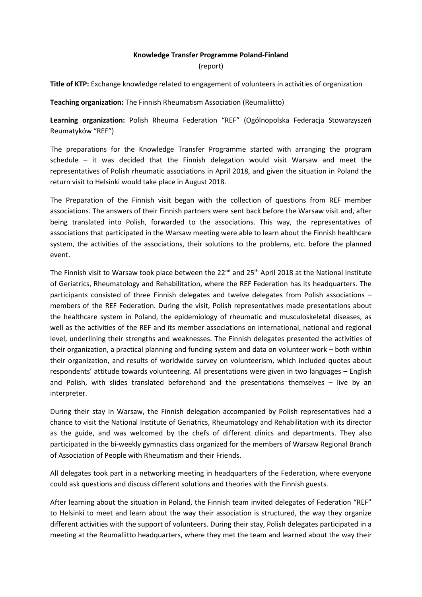## **Knowledge Transfer Programme Poland-Finland**

## (report)

**Title of KTP:** Exchange knowledge related to engagement of volunteers in activities of organization

**Teaching organization:** The Finnish Rheumatism Association (Reumaliitto)

**Learning organization:** Polish Rheuma Federation "REF" (Ogólnopolska Federacja Stowarzyszeń Reumatyków "REF")

The preparations for the Knowledge Transfer Programme started with arranging the program schedule – it was decided that the Finnish delegation would visit Warsaw and meet the representatives of Polish rheumatic associations in April 2018, and given the situation in Poland the return visit to Helsinki would take place in August 2018.

The Preparation of the Finnish visit began with the collection of questions from REF member associations. The answers of their Finnish partners were sent back before the Warsaw visit and, after being translated into Polish, forwarded to the associations. This way, the representatives of associations that participated in the Warsaw meeting were able to learn about the Finnish healthcare system, the activities of the associations, their solutions to the problems, etc. before the planned event.

The Finnish visit to Warsaw took place between the 22<sup>nd</sup> and 25<sup>th</sup> April 2018 at the National Institute of Geriatrics, Rheumatology and Rehabilitation, where the REF Federation has its headquarters. The participants consisted of three Finnish delegates and twelve delegates from Polish associations – members of the REF Federation. During the visit, Polish representatives made presentations about the healthcare system in Poland, the epidemiology of rheumatic and musculoskeletal diseases, as well as the activities of the REF and its member associations on international, national and regional level, underlining their strengths and weaknesses. The Finnish delegates presented the activities of their organization, a practical planning and funding system and data on volunteer work – both within their organization, and results of worldwide survey on volunteerism, which included quotes about respondents' attitude towards volunteering. All presentations were given in two languages – English and Polish, with slides translated beforehand and the presentations themselves – live by an interpreter.

During their stay in Warsaw, the Finnish delegation accompanied by Polish representatives had a chance to visit the National Institute of Geriatrics, Rheumatology and Rehabilitation with its director as the guide, and was welcomed by the chefs of different clinics and departments. They also participated in the bi-weekly gymnastics class organized for the members of Warsaw Regional Branch of Association of People with Rheumatism and their Friends.

All delegates took part in a networking meeting in headquarters of the Federation, where everyone could ask questions and discuss different solutions and theories with the Finnish guests.

After learning about the situation in Poland, the Finnish team invited delegates of Federation "REF" to Helsinki to meet and learn about the way their association is structured, the way they organize different activities with the support of volunteers. During their stay, Polish delegates participated in a meeting at the Reumaliitto headquarters, where they met the team and learned about the way their